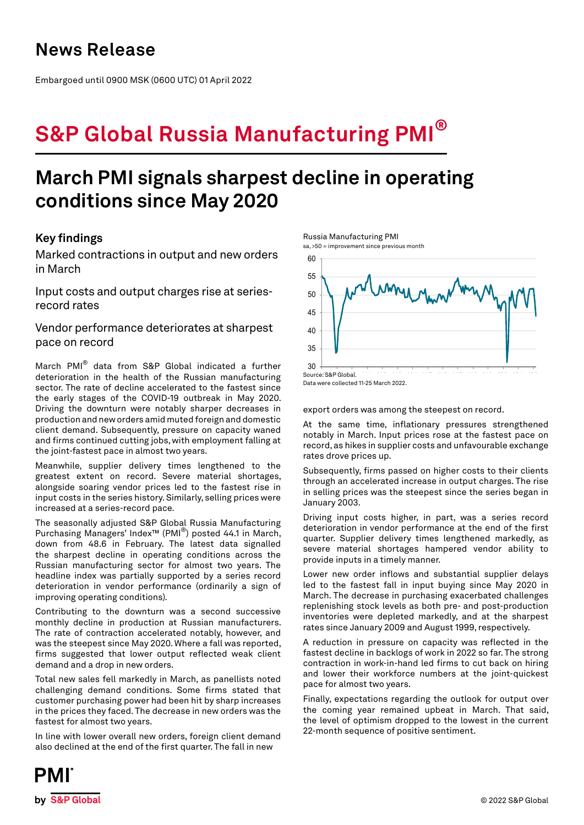## **News Release**

Embargoed until 0900 MSK (0600 UTC) 01 April 2022

# **S&P Global Russia Manufacturing PMI®**

## **March PMI signals sharpest decline in operating conditions since May 2020**

## **Key findings**

Marked contractions in output and new orders in March

Input costs and output charges rise at seriesrecord rates

Vendor performance deteriorates at sharpest pace on record

March PMI® data from S&P Global indicated a further deterioration in the health of the Russian manufacturing sector. The rate of decline accelerated to the fastest since the early stages of the COVID-19 outbreak in May 2020. Driving the downturn were notably sharper decreases in production and new orders amid muted foreign and domestic client demand. Subsequently, pressure on capacity waned and firms continued cutting jobs, with employment falling at the joint-fastest pace in almost two years.

Meanwhile, supplier delivery times lengthened to the greatest extent on record. Severe material shortages, alongside soaring vendor prices led to the fastest rise in input costs in the series history. Similarly, selling prices were increased at a series-record pace.

The seasonally adjusted S&P Global Russia Manufacturing Purchasing Managers' Index™ (PMI®) posted 44.1 in March, down from 48.6 in February. The latest data signalled the sharpest decline in operating conditions across the Russian manufacturing sector for almost two years. The headline index was partially supported by a series record deterioration in vendor performance (ordinarily a sign of improving operating conditions).

Contributing to the downturn was a second successive monthly decline in production at Russian manufacturers. The rate of contraction accelerated notably, however, and was the steepest since May 2020. Where a fall was reported, firms suggested that lower output reflected weak client demand and a drop in new orders.

Total new sales fell markedly in March, as panellists noted challenging demand conditions. Some firms stated that customer purchasing power had been hit by sharp increases in the prices they faced. The decrease in new orders was the fastest for almost two years.

In line with lower overall new orders, foreign client demand also declined at the end of the first quarter. The fall in new



Data were collected 11-25 March 2022.

export orders was among the steepest on record.

At the same time, inflationary pressures strengthened notably in March. Input prices rose at the fastest pace on record, as hikes in supplier costs and unfavourable exchange rates drove prices up.

Subsequently, firms passed on higher costs to their clients through an accelerated increase in output charges. The rise in selling prices was the steepest since the series began in January 2003.

Driving input costs higher, in part, was a series record deterioration in vendor performance at the end of the first quarter. Supplier delivery times lengthened markedly, as severe material shortages hampered vendor ability to provide inputs in a timely manner.

Lower new order inflows and substantial supplier delays led to the fastest fall in input buying since May 2020 in March. The decrease in purchasing exacerbated challenges replenishing stock levels as both pre- and post-production inventories were depleted markedly, and at the sharpest rates since January 2009 and August 1999, respectively.

A reduction in pressure on capacity was reflected in the fastest decline in backlogs of work in 2022 so far. The strong contraction in work-in-hand led firms to cut back on hiring and lower their workforce numbers at the joint-quickest pace for almost two years.

Finally, expectations regarding the outlook for output over the coming year remained upbeat in March. That said, the level of optimism dropped to the lowest in the current 22-month sequence of positive sentiment.